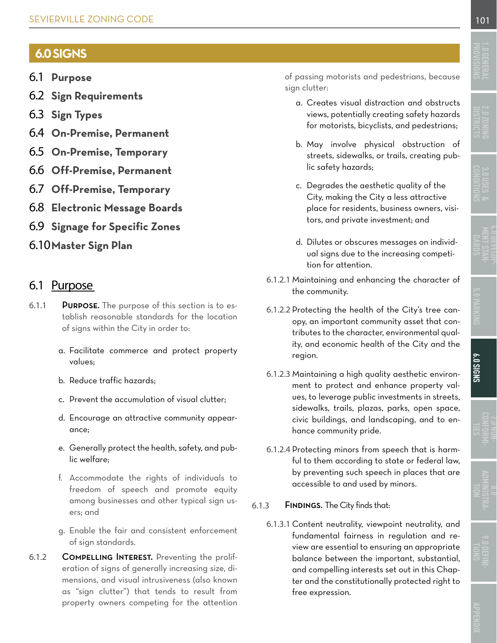# **6.0 SIGNS**

- 6.1 **Purpose**
- 6.2 **[Sign Requirements](#page-1-0)**
- 6.3 **[Sign Types](#page-6-0)**
- 6.4 **[On-Premise, Permanent](#page-6-0)**
- 6.5 **[On-Premise, Temporary](#page-9-0)**
- 6.6 **[Off-Premise, Permanent](#page-10-0)**
- 6.7 **[Off-Premise, Temporary](#page-11-0)**
- 6.8 **[Electronic Message Boards](#page-11-0)**
- 6.9 **[Signage for Specific Zones](#page-12-0)**
- 6.10**[Master Sign Plan](#page-14-0)**

## 6.1 Purpose

- 6.1.1 Purpose. The purpose of this section is to establish reasonable standards for the location of signs within the City in order to:
	- a. Facilitate commerce and protect property values;
	- b. Reduce traffic hazards;
	- c. Prevent the accumulation of visual clutter;
	- d. Encourage an attractive community appearance;
	- e. Generally protect the health, safety, and public welfare;
	- f. Accommodate the rights of individuals to freedom of speech and promote equity among businesses and other typical sign users; and
	- g. Enable the fair and consistent enforcement of sign standards.
- 6.1.2 Compelling Interest. Preventing the proliferation of signs of generally increasing size, dimensions, and visual intrusiveness (also known as "sign clutter") that tends to result from property owners competing for the attention

of passing motorists and pedestrians, because sign clutter:

- a. Creates visual distraction and obstructs views, potentially creating safety hazards for motorists, bicyclists, and pedestrians;
- b. May involve physical obstruction of streets, sidewalks, or trails, creating public safety hazards;
- c. Degrades the aesthetic quality of the City, making the City a less attractive place for residents, business owners, visitors, and private investment; and
- d. Dilutes or obscures messages on individual signs due to the increasing competition for attention.
- 6.1.2.1 Maintaining and enhancing the character of the community.
- 6.1.2.2 Protecting the health of the City's tree canopy, an important community asset that contributes to the character, environmental quality, and economic health of the City and the region.
- 6.1.2.3 Maintaining a high quality aesthetic environment to protect and enhance property values, to leverage public investments in streets, sidewalks, trails, plazas, parks, open space, civic buildings, and landscaping, and to enhance community pride.
- 6.1.2.4 Protecting minors from speech that is harmful to them according to state or federal law, by preventing such speech in places that are accessible to and used by minors.

#### 6.1.3 Findings. The City finds that:

6.1.3.1 Content neutrality, viewpoint neutrality, and fundamental fairness in regulation and review are essential to ensuring an appropriate balance between the important, substantial, and compelling interests set out in this Chapter and the constitutionally protected right to free expression.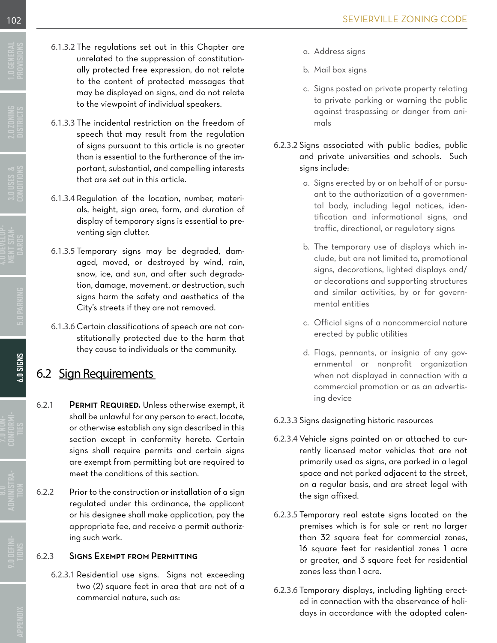- <span id="page-1-0"></span>6.1.3.2 The regulations set out in this Chapter are unrelated to the suppression of constitutionally protected free expression, do not relate to the content of protected messages that may be displayed on signs, and do not relate to the viewpoint of individual speakers.
- 6.1.3.3 The incidental restriction on the freedom of speech that may result from the regulation of signs pursuant to this article is no greater than is essential to the furtherance of the important, substantial, and compelling interests that are set out in this article.
- 6.1.3.4 Regulation of the location, number, materials, height, sign area, form, and duration of display of temporary signs is essential to preventing sign clutter.
- 6.1.3.5 Temporary signs may be degraded, damaged, moved, or destroyed by wind, rain, snow, ice, and sun, and after such degradation, damage, movement, or destruction, such signs harm the safety and aesthetics of the City's streets if they are not removed.
- 6.1.3.6 Certain classifications of speech are not constitutionally protected due to the harm that they cause to individuals or the community.

# 6.2 Sign Requirements

- 6.2.1 PERMIT REQUIRED. Unless otherwise exempt, it shall be unlawful for any person to erect, locate, or otherwise establish any sign described in this section except in conformity hereto. Certain signs shall require permits and certain signs are exempt from permitting but are required to meet the conditions of this section.
- 6.2.2 Prior to the construction or installation of a sign regulated under this ordinance, the applicant or his designee shall make application, pay the appropriate fee, and receive a permit authorizing such work.

### 6.2.3 Signs Exempt from Permitting

6.2.3.1 Residential use signs. Signs not exceeding two (2) square feet in area that are not of a commercial nature, such as:

- a. Address signs
- b. Mail box signs
- c. Signs posted on private property relating to private parking or warning the public against trespassing or danger from animals
- 6.2.3.2 Signs associated with public bodies, public and private universities and schools. Such signs include:
	- a. Signs erected by or on behalf of or pursuant to the authorization of a governmental body, including legal notices, identification and informational signs, and traffic, directional, or regulatory signs
	- b. The temporary use of displays which include, but are not limited to, promotional signs, decorations, lighted displays and/ or decorations and supporting structures and similar activities, by or for governmental entities
	- c. Official signs of a noncommercial nature erected by public utilities
	- d. Flags, pennants, or insignia of any governmental or nonprofit organization when not displayed in connection with a commercial promotion or as an advertising device

### 6.2.3.3 Signs designating historic resources

- 6.2.3.4 Vehicle signs painted on or attached to currently licensed motor vehicles that are not primarily used as signs, are parked in a legal space and not parked adjacent to the street, on a regular basis, and are street legal with the sign affixed.
- 6.2.3.5 Temporary real estate signs located on the premises which is for sale or rent no larger than 32 square feet for commercial zones, 16 square feet for residential zones 1 acre or greater, and 3 square feet for residential zones less than 1 acre.
- 6.2.3.6 Temporary displays, including lighting erected in connection with the observance of holidays in accordance with the adopted calen-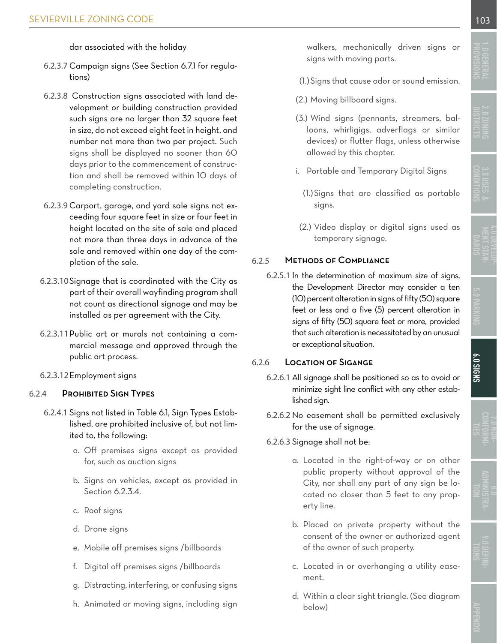dar associated with the holiday

- <span id="page-2-0"></span>6.2.3.7 Campaign signs (See [Section 6.7.1](#page-11-0) for regulations)
- 6.2.3.8 Construction signs associated with land development or building construction provided such signs are no larger than 32 square feet in size, do not exceed eight feet in height, and number not more than two per project. Such signs shall be displayed no sooner than 60 days prior to the commencement of construction and shall be removed within 10 days of completing construction.
- 6.2.3.9 Carport, garage, and yard sale signs not exceeding four square feet in size or four feet in height located on the site of sale and placed not more than three days in advance of the sale and removed within one day of the completion of the sale.
- 6.2.3.10Signage that is coordinated with the City as part of their overall wayfinding program shall not count as directional signage and may be installed as per agreement with the City.
- 6.2.3.11Public art or murals not containing a commercial message and approved through the public art process.
- 6.2.3.12Employment signs

### 6.2.4 Prohibited Sign Types

- 6.2.4.1 Signs not listed in [Table 6.1](#page-5-0), Sign Types Established, are prohibited inclusive of, but not limited to, the following:
	- a. Off premises signs except as provided for, such as auction signs
	- b. Signs on vehicles, except as provided in Section 6.2.3.4.
	- c. Roof signs
	- d. Drone signs
	- e. Mobile off premises signs /billboards
	- f. Digital off premises signs /billboards
	- g. Distracting, interfering, or confusing signs
	- h. Animated or moving signs, including sign

walkers, mechanically driven signs or signs with moving parts.

- (1.)Signs that cause odor or sound emission.
- (2.) Moving billboard signs.
- (3.) Wind signs (pennants, streamers, balloons, whirligigs, adverflags or similar devices) or flutter flags, unless otherwise allowed by this chapter.
- i. Portable and Temporary Digital Signs
	- (1.)Signs that are classified as portable signs.
- (2.) Video display or digital signs used as temporary signage.

### 6.2.5 Methods of Compliance

6.2.5.1 In the determination of maximum size of signs, the Development Director may consider a ten (10) percent alteration in signs of fifty (50) square feet or less and a five (5) percent alteration in signs of fifty (50) square feet or more, provided that such alteration is necessitated by an unusual or exceptional situation.

### 6.2.6 Location of Sigange

- 6.2.6.1 All signage shall be positioned so as to avoid or minimize sight line conflict with any other established sign.
- 6.2.6.2 No easement shall be permitted exclusively for the use of signage.
- 6.2.6.3 Signage shall not be:
	- a. Located in the right-of-way or on other public property without approval of the City, nor shall any part of any sign be located no closer than 5 feet to any property line.
	- b. Placed on private property without the consent of the owner or authorized agent of the owner of such property.
	- c. Located in or overhanging a utility easement.
	- d. Within a clear sight triangle. (See diagram below)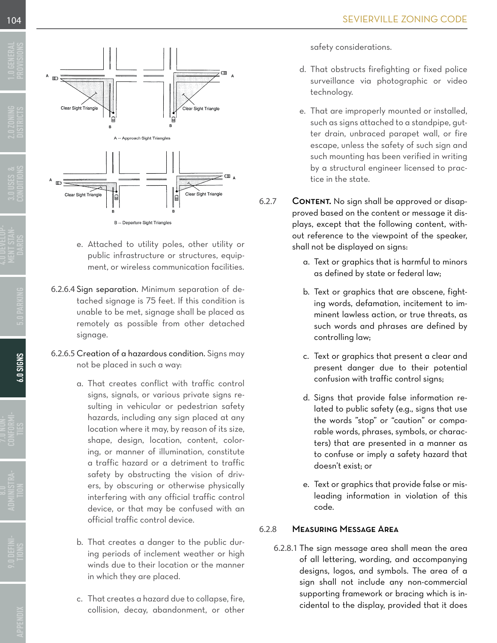<span id="page-3-0"></span>

- e. Attached to utility poles, other utility or public infrastructure or structures, equipment, or wireless communication facilities.
- 6.2.6.4 Sign separation. Minimum separation of detached signage is 75 feet. If this condition is unable to be met, signage shall be placed as remotely as possible from other detached signage.
- 6.2.6.5 Creation of a hazardous condition. Signs may not be placed in such a way:
	- a. That creates conflict with traffic control signs, signals, or various private signs resulting in vehicular or pedestrian safety hazards, including any sign placed at any location where it may, by reason of its size, shape, design, location, content, coloring, or manner of illumination, constitute a traffic hazard or a detriment to traffic safety by obstructing the vision of drivers, by obscuring or otherwise physically interfering with any official traffic control device, or that may be confused with an official traffic control device.
	- b. That creates a danger to the public during periods of inclement weather or high winds due to their location or the manner in which they are placed.
	- c. That creates a hazard due to collapse, fire, collision, decay, abandonment, or other

safety considerations.

- d. That obstructs firefighting or fixed police surveillance via photographic or video technology.
- e. That are improperly mounted or installed, such as signs attached to a standpipe, gutter drain, unbraced parapet wall, or fire escape, unless the safety of such sign and such mounting has been verified in writing by a structural engineer licensed to practice in the state.
- 6.2.7 CONTENT. No sign shall be approved or disapproved based on the content or message it displays, except that the following content, without reference to the viewpoint of the speaker, shall not be displayed on signs:
	- a. Text or graphics that is harmful to minors as defined by state or federal law;
	- b. Text or graphics that are obscene, fighting words, defamation, incitement to imminent lawless action, or true threats, as such words and phrases are defined by controlling law;
	- c. Text or graphics that present a clear and present danger due to their potential confusion with traffic control signs;
	- d. Signs that provide false information related to public safety (e.g., signs that use the words "stop" or "caution" or comparable words, phrases, symbols, or characters) that are presented in a manner as to confuse or imply a safety hazard that doesn't exist; or
	- e. Text or graphics that provide false or misleading information in violation of this code.

### 6.2.8 Measuring Message Area

6.2.8.1 The sign message area shall mean the area of all lettering, wording, and accompanying designs, logos, and symbols. The area of a sign shall not include any non-commercial supporting framework or bracing which is incidental to the display, provided that it does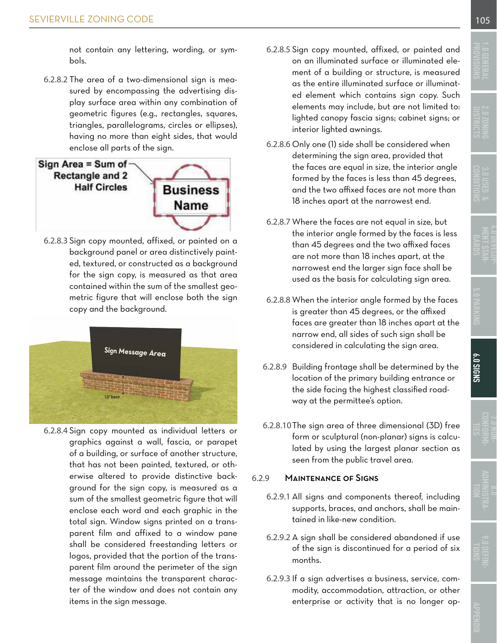<span id="page-4-0"></span>not contain any lettering, wording, or sym-

bols.

6.2.8.2 The area of a two-dimensional sign is measured by encompassing the advertising display surface area within any combination of geometric figures (e.g., rectangles, squares, triangles, parallelograms, circles or ellipses), having no more than eight sides, that would enclose all parts of the sign.



6.2.8.3 Sign copy mounted, affixed, or painted on a background panel or area distinctively painted, textured, or constructed as a background for the sign copy, is measured as that area contained within the sum of the smallest geometric figure that will enclose both the sign copy and the background.



6.2.8.4 Sign copy mounted as individual letters or graphics against a wall, fascia, or parapet of a building, or surface of another structure, that has not been painted, textured, or otherwise altered to provide distinctive background for the sign copy, is measured as a sum of the smallest geometric figure that will enclose each word and each graphic in the total sign. Window signs printed on a transparent film and affixed to a window pane shall be considered freestanding letters or logos, provided that the portion of the transparent film around the perimeter of the sign message maintains the transparent character of the window and does not contain any items in the sign message.

- 6.2.8.5 Sign copy mounted, affixed, or painted and on an illuminated surface or illuminated element of a building or structure, is measured as the entire illuminated surface or illuminated element which contains sign copy. Such elements may include, but are not limited to: lighted canopy fascia signs; cabinet signs; or interior lighted awnings.
- 6.2.8.6 Only one (1) side shall be considered when determining the sign area, provided that the faces are equal in size, the interior angle formed by the faces is less than 45 degrees, and the two affixed faces are not more than 18 inches apart at the narrowest end.
- 6.2.8.7 Where the faces are not equal in size, but the interior angle formed by the faces is less than 45 degrees and the two affixed faces are not more than 18 inches apart, at the narrowest end the larger sign face shall be used as the basis for calculating sign area.
- 6.2.8.8 When the interior angle formed by the faces is greater than 45 degrees, or the affixed faces are greater than 18 inches apart at the narrow end, all sides of such sign shall be considered in calculating the sign area.
- 6.2.8.9 Building frontage shall be determined by the location of the primary building entrance or the side facing the highest classified roadway at the permittee's option.
- 6.2.8.10The sign area of three dimensional (3D) free form or sculptural (non-planar) signs is calculated by using the largest planar section as seen from the public travel area.

#### 6.2.9 Maintenance of Signs

- 6.2.9.1 All signs and components thereof, including supports, braces, and anchors, shall be maintained in like-new condition.
- 6.2.9.2 A sign shall be considered abandoned if use of the sign is discontinued for a period of six months.
- 6.2.9.3 If a sign advertises a business, service, commodity, accommodation, attraction, or other enterprise or activity that is no longer op-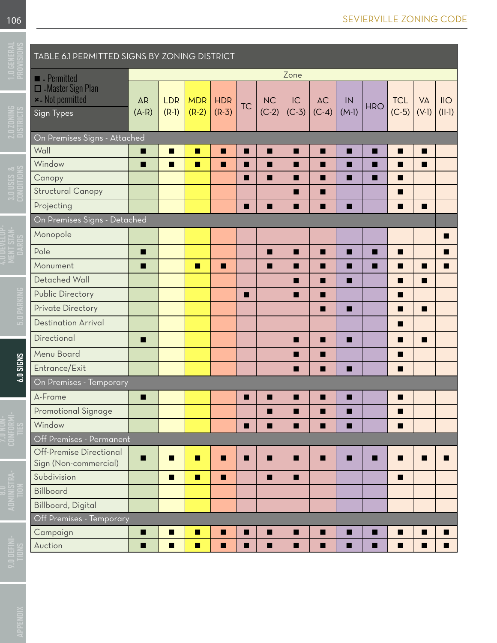<span id="page-5-0"></span>

|             | <b>TABLE 6.1 PERMITTED SIGNS BY ZONING DISTRICT</b>     |           |                |                |            |           |         |    |                   |         |            |                |                |                |
|-------------|---------------------------------------------------------|-----------|----------------|----------------|------------|-----------|---------|----|-------------------|---------|------------|----------------|----------------|----------------|
|             | $\blacksquare$ = Permitted                              | Zone      |                |                |            |           |         |    |                   |         |            |                |                |                |
|             | Master Sign Plan                                        |           |                |                |            |           |         |    |                   |         |            |                |                |                |
|             | $\star$ = Not permitted                                 | <b>AR</b> | <b>LDR</b>     | <b>MDR</b>     | <b>HDR</b> | <b>TC</b> | NC      | IC | AC                | IN      | <b>HRO</b> | <b>TCL</b>     | <b>VA</b>      | IIO            |
|             | Sign Types                                              | $(A-R)$   | $(R-1)$        | $(R-2)$        | $(R-3)$    |           | $(C-2)$ |    | $(C-3)   (C-4)  $ | $(M-1)$ |            | $(C-5)$        | $(V-I)$        | $(  -1)$       |
|             | On Premises Signs - Attached                            |           |                |                |            |           |         |    |                   |         |            |                |                |                |
|             | Wall                                                    | п         | п              | $\blacksquare$ | п          | ■         | п       | п  | п                 | п       | п          | П              | П              |                |
|             | Window                                                  | п         | $\blacksquare$ | п              | п          |           | п       | п  | п                 | п       | п          | п              | П              |                |
|             | Canopy                                                  |           |                |                |            | п         | П       | п  | п                 | П       | п          | п              |                |                |
|             | <b>Structural Canopy</b>                                |           |                |                |            |           |         | п  | П                 |         |            | п              |                |                |
|             | Projecting                                              |           |                |                |            | п         | П       | п  | п                 | п       |            | П              | п              |                |
|             | On Premises Signs - Detached                            |           |                |                |            |           |         |    |                   |         |            |                |                |                |
|             | Monopole                                                |           |                |                |            |           |         |    |                   |         |            |                |                | п              |
|             | Pole                                                    | п         |                |                |            |           | п       |    |                   | п       | п          | $\blacksquare$ |                | п              |
|             | Monument                                                | п         |                | п              | п          |           | п       | п  | п                 | п       | п          | П              | П              | п              |
|             | <b>Detached Wall</b>                                    |           |                |                |            |           |         | ш  | П                 | П       |            | п              | П              |                |
|             | <b>Public Directory</b>                                 |           |                |                |            | п         |         | ×  | П                 |         |            | П              |                |                |
|             | <b>Private Directory</b>                                |           |                |                |            |           |         |    | П                 | П       |            | П              | П              |                |
|             | <b>Destination Arrival</b>                              |           |                |                |            |           |         |    |                   |         |            | п              |                |                |
|             | Directional                                             | п         |                |                |            |           |         | п  | п                 | п       |            | п              | П              |                |
|             | Menu Board                                              |           |                |                |            |           |         |    |                   |         |            | п              |                |                |
| $6.0$ SIGNS | Entrance/Exit                                           |           |                |                |            |           |         |    | П                 | п       |            | п              |                |                |
|             | On Premises - Temporary                                 |           |                |                |            |           |         |    |                   |         |            |                |                |                |
|             | A-Frame                                                 | ш         |                |                |            | ■         |         |    |                   |         |            | П              |                |                |
|             | <b>Promotional Signage</b>                              |           |                |                |            |           | п       | ▬  |                   | ■       |            | ш              |                |                |
|             | Window                                                  |           |                |                |            | п         | ш       | ш  |                   | п       |            | п              |                |                |
|             | Off Premises - Permanent                                |           |                |                |            |           |         |    |                   |         |            |                |                |                |
|             | <b>Off-Premise Directional</b><br>Sign (Non-commercial) | ш         | ш              | п              | п          | ш         | п       | ш  |                   | п       | п          | $\blacksquare$ | п              | п              |
|             | Subdivision                                             |           | $\blacksquare$ | $\blacksquare$ | п          |           | п       |    |                   |         |            | $\blacksquare$ |                |                |
|             | Billboard                                               |           |                |                |            |           |         |    |                   |         |            |                |                |                |
|             | <b>Billboard, Digital</b>                               |           |                |                |            |           |         |    |                   |         |            |                |                |                |
|             | Off Premises - Temporary                                |           |                |                |            |           |         |    |                   |         |            |                |                |                |
|             | Campaign                                                | п         | П              | п              | п          |           | п       | п  | п                 | п       | п          | п              | ш              | п              |
|             | Auction                                                 | п         | $\blacksquare$ | п              | п          | ш         | п       | п  | п                 | п       | п          | п              | $\blacksquare$ | $\blacksquare$ |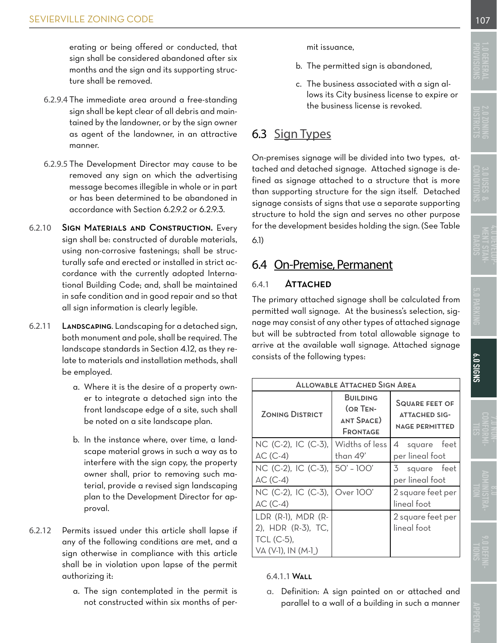<span id="page-6-0"></span>erating or being offered or conducted, that sign shall be considered abandoned after six months and the sign and its supporting structure shall be removed.

- 6.2.9.4 The immediate area around a free-standing sign shall be kept clear of all debris and maintained by the landowner, or by the sign owner as agent of the landowner, in an attractive manner.
- 6.2.9.5 The Development Director may cause to be removed any sign on which the advertising message becomes illegible in whole or in part or has been determined to be abandoned in accordance with [Section 6.2.9.2 or 6.2.9.3.](#page-4-0)
- 6.2.10 Sign Materials and Construction. Every sign shall be: constructed of durable materials, using non-corrosive fastenings; shall be structurally safe and erected or installed in strict accordance with the currently adopted International Building Code; and, shall be maintained in safe condition and in good repair and so that all sign information is clearly legible.
- 6.2.11 Landscaping. Landscaping for a detached sign, both monument and pole, shall be required. The landscape standards in [Section 4.12,](#page-26-0) as they relate to materials and installation methods, shall be employed.
	- a. Where it is the desire of a property owner to integrate a detached sign into the front landscape edge of a site, such shall be noted on a site landscape plan.
	- b. In the instance where, over time, a landscape material grows in such a way as to interfere with the sign copy, the property owner shall, prior to removing such material, provide a revised sign landscaping plan to the Development Director for approval.
- 6.2.12 Permits issued under this article shall lapse if any of the following conditions are met, and a sign otherwise in compliance with this article shall be in violation upon lapse of the permit authorizing it:
	- a. The sign contemplated in the permit is not constructed within six months of per-

mit issuance,

- b. The permitted sign is abandoned,
- c. The business associated with a sign allows its City business license to expire or the business license is revoked.

# 6.3 Sign Types

On-premises signage will be divided into two types, attached and detached signage. Attached signage is defined as signage attached to a structure that is more than supporting structure for the sign itself. Detached signage consists of signs that use a separate supporting structure to hold the sign and serves no other purpose for the development besides holding the sign. [\(See Table](#page-5-0)  [6.1\)](#page-5-0) 

# 6.4 On-Premise, Permanent

#### 6.4.1 Attached

The primary attached signage shall be calculated from permitted wall signage. At the business's selection, signage may consist of any other types of attached signage but will be subtracted from total allowable signage to arrive at the available wall signage. Attached signage consists of the following types:

| <b>ALLOWABLE ATTACHED SIGN AREA</b> |                                                                     |                                                                        |  |  |  |  |
|-------------------------------------|---------------------------------------------------------------------|------------------------------------------------------------------------|--|--|--|--|
| <b>ZONING DISTRICT</b>              | <b>BUILDING</b><br><b>COR TEN-</b><br><b>ANT SPACE)</b><br>FRONTAGE | <b>SQUARE FEET OF</b><br><b>ATTACHED SIG-</b><br><b>NAGE PERMITTED</b> |  |  |  |  |
| NC (C-2), IC (C-3),                 | Widths of less                                                      | 4 square feet                                                          |  |  |  |  |
| $AC(C-4)$                           | than 49'                                                            | per lineal foot                                                        |  |  |  |  |
| NC (C-2), IC (C-3),                 | $50' - 100'$                                                        | 3 square feet                                                          |  |  |  |  |
| $AC$ (C-4)                          |                                                                     | per lineal foot                                                        |  |  |  |  |
| NC (C-2), IC (C-3), Over 100'       |                                                                     | 2 square feet per                                                      |  |  |  |  |
| $AC(C-4)$                           |                                                                     | lineal foot                                                            |  |  |  |  |
| LDR (R-1), MDR (R-                  |                                                                     | 2 square feet per                                                      |  |  |  |  |
| 2), HDR (R-3), TC,                  |                                                                     | lineal foot                                                            |  |  |  |  |
| TCL (C-5),                          |                                                                     |                                                                        |  |  |  |  |
| VA (V-1), IN (M-1_)                 |                                                                     |                                                                        |  |  |  |  |

#### 6.4.1.1 Wall

a. Definition: A sign painted on or attached and parallel to a wall of a building in such a manner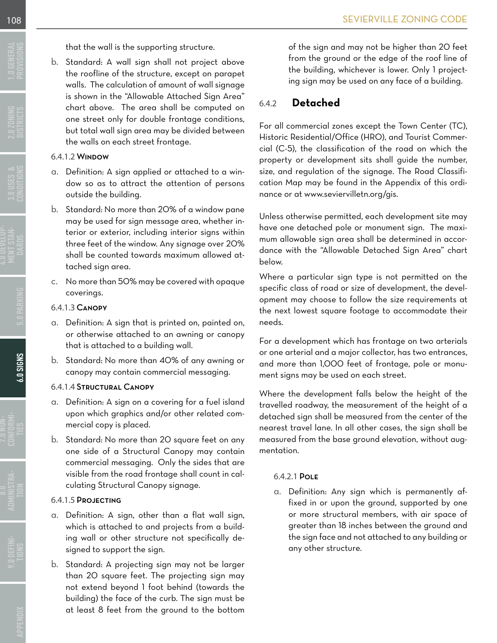**[CONFORMI-](file:C:\Users\cbowen\Dropbox\Sevierville%2C%20TN%20Work%20Folder\Phase%202\Sevierville%20Code%20Template%20Folder\Sevierville%20Zoning%20Code%20-%20InDesign\7.0%20Non-conformities.indd)**

that the wall is the supporting structure.

<span id="page-7-0"></span>b. Standard: A wall sign shall not project above the roofline of the structure, except on parapet walls. The calculation of amount of wall signage is shown in the ["Allowable Attached Sign Area"](#page-6-0) chart above. The area shall be computed on one street only for double frontage conditions, but total wall sign area may be divided between the walls on each street frontage.

#### 6.4.1.2 Window

- a. Definition: A sign applied or attached to a window so as to attract the attention of persons outside the building.
- b. Standard: No more than 20% of a window pane may be used for sign message area, whether interior or exterior, including interior signs within three feet of the window. Any signage over 20% shall be counted towards maximum allowed attached sign area.
- c. No more than 50% may be covered with opaque coverings.

#### 6.4.1.3 Canopy

- a. Definition: A sign that is printed on, painted on, or otherwise attached to an awning or canopy that is attached to a building wall.
- b. Standard: No more than 40% of any awning or canopy may contain commercial messaging.

#### 6.4.1.4 Structural Canopy

- a. Definition: A sign on a covering for a fuel island upon which graphics and/or other related commercial copy is placed.
- b. Standard: No more than 20 square feet on any one side of a Structural Canopy may contain commercial messaging. Only the sides that are visible from the road frontage shall count in calculating Structural Canopy signage.

#### 6.4.1.5 Projecting

- a. Definition: A sign, other than a flat wall sign, which is attached to and projects from a building wall or other structure not specifically designed to support the sign.
- b. Standard: A projecting sign may not be larger than 20 square feet. The projecting sign may not extend beyond 1 foot behind (towards the building) the face of the curb. The sign must be at least 8 feet from the ground to the bottom

of the sign and may not be higher than 20 feet from the ground or the edge of the roof line of the building, whichever is lower. Only 1 projecting sign may be used on any face of a building.

### 6.4.2 **Detached**

For all commercial zones except the Town Center (TC), Historic Residential/Office (HRO), and Tourist Commercial (C-5), the classification of the road on which the property or development sits shall guide the number, size, and regulation of the signage. The Road Classification Map may be found in the Appendix of this ordinance or at www.seviervilletn.org/gis.

Unless otherwise permitted, each development site may have one detached pole or monument sign. The maximum allowable sign area shall be determined in accordance with the "Allowable Detached Sign Area" chart below.

Where a particular sign type is not permitted on the specific class of road or size of development, the development may choose to follow the size requirements at the next lowest square footage to accommodate their needs.

For a development which has frontage on two arterials or one arterial and a major collector, has two entrances, and more than 1,000 feet of frontage, pole or monument signs may be used on each street.

Where the development falls below the height of the travelled roadway, the measurement of the height of a detached sign shall be measured from the center of the nearest travel lane. In all other cases, the sign shall be measured from the base ground elevation, without augmentation.

#### 6.4.2.1 Pole

a. Definition: Any sign which is permanently affixed in or upon the ground, supported by one or more structural members, with air space of greater than 18 inches between the ground and the sign face and not attached to any building or any other structure.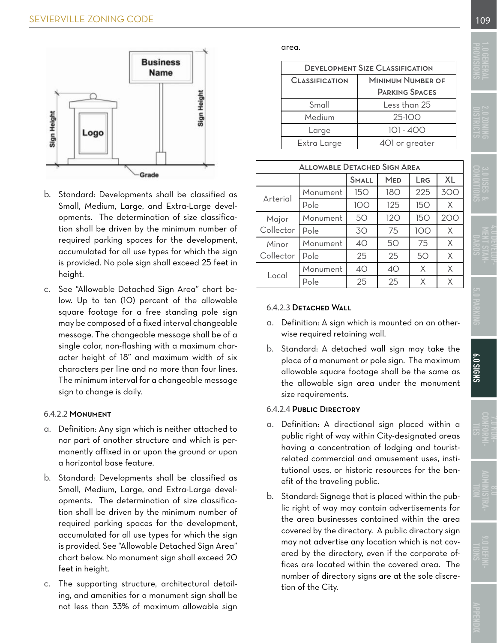<span id="page-8-0"></span>

- b. Standard: Developments shall be classified as Small, Medium, Large, and Extra-Large developments. The determination of size classification shall be driven by the minimum number of required parking spaces for the development, accumulated for all use types for which the sign is provided. No pole sign shall exceed 25 feet in height.
- c. See "Allowable Detached Sign Area" chart below. Up to ten (10) percent of the allowable square footage for a free standing pole sign may be composed of a fixed interval changeable message. The changeable message shall be of a single color, non-flashing with a maximum character height of 18" and maximum width of six characters per line and no more than four lines. The minimum interval for a changeable message sign to change is daily.

#### 6.4.2.2 Monument

- a. Definition: Any sign which is neither attached to nor part of another structure and which is permanently affixed in or upon the ground or upon a horizontal base feature.
- b. Standard: Developments shall be classified as Small, Medium, Large, and Extra-Large developments. The determination of size classification shall be driven by the minimum number of required parking spaces for the development, accumulated for all use types for which the sign is provided. See "Allowable Detached Sign Area" chart below. No monument sign shall exceed 20 feet in height.
- c. The supporting structure, architectural detailing, and amenities for a monument sign shall be not less than 33% of maximum allowable sign

| <b>DEVELOPMENT SIZE CLASSIFICATION</b> |                          |  |  |  |
|----------------------------------------|--------------------------|--|--|--|
| <b>CLASSIFICATION</b>                  | <b>MINIMUM NUMBER OF</b> |  |  |  |
|                                        | <b>PARKING SPACES</b>    |  |  |  |
| Small                                  | Less than 25             |  |  |  |
| Medium                                 | $25-100$                 |  |  |  |
| Large                                  | 101 - 400                |  |  |  |
| Extra Large                            | 401 or greater           |  |  |  |

| <b>ALLOWABLE DETACHED SIGN AREA</b> |          |              |            |     |           |  |  |
|-------------------------------------|----------|--------------|------------|-----|-----------|--|--|
|                                     |          | <b>SMALL</b> | <b>MED</b> | LRG | <b>XL</b> |  |  |
| Arterial                            | Monument | 150          | <b>180</b> | 225 | 300       |  |  |
|                                     | Pole     | 100          | 125        | 150 | Χ         |  |  |
| Major                               | Monument | 50           | 120        | 150 | 200       |  |  |
| Collector                           | Pole     | 30           | 75         | 100 | Χ         |  |  |
| Minor                               | Monument | 40           | 50         | 75  | X         |  |  |
| Collector                           | Pole     | 25           | 25         | 50  | X         |  |  |
| Local                               | Monument | 40           | 40         | Χ   | X         |  |  |
|                                     | Pole     | 25           | 25         | Χ   | Χ         |  |  |

#### 6.4.2.3 Detached Wall

- a. Definition: A sign which is mounted on an otherwise required retaining wall.
- b. Standard: A detached wall sign may take the place of a monument or pole sign. The maximum allowable square footage shall be the same as the allowable sign area under the monument size requirements.

#### 6.4.2.4 Public Directory

- a. Definition: A directional sign placed within a public right of way within City-designated areas having a concentration of lodging and touristrelated commercial and amusement uses, institutional uses, or historic resources for the benefit of the traveling public.
- b. Standard: Signage that is placed within the public right of way may contain advertisements for the area businesses contained within the area covered by the directory. A public directory sign may not advertise any location which is not covered by the directory, even if the corporate offices are located within the covered area. The number of directory signs are at the sole discretion of the City.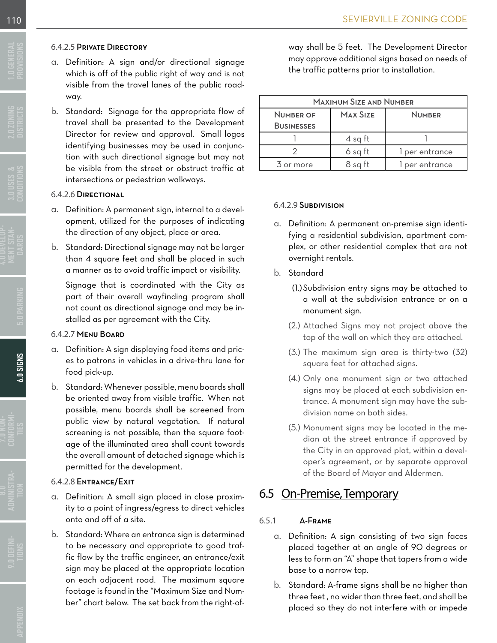#### <span id="page-9-0"></span>6.4.2.5 Private Directory

- a. Definition: A sign and/or directional signage which is off of the public right of way and is not visible from the travel lanes of the public roadway.
- b. Standard: Signage for the appropriate flow of travel shall be presented to the Development Director for review and approval. Small logos identifying businesses may be used in conjunction with such directional signage but may not be visible from the street or obstruct traffic at intersections or pedestrian walkways.

#### 6.4.2.6 Directional

- a. Definition: A permanent sign, internal to a development, utilized for the purposes of indicating the direction of any object, place or area.
- b. Standard: Directional signage may not be larger than 4 square feet and shall be placed in such a manner as to avoid traffic impact or visibility.

Signage that is coordinated with the City as part of their overall wayfinding program shall not count as directional signage and may be installed as per agreement with the City.

#### 6.4.2.7 Menu Board

- a. Definition: A sign displaying food items and prices to patrons in vehicles in a drive-thru lane for food pick-up.
- b. Standard: Whenever possible, menu boards shall be oriented away from visible traffic. When not possible, menu boards shall be screened from public view by natural vegetation. If natural screening is not possible, then the square footage of the illuminated area shall count towards the overall amount of detached signage which is permitted for the development.

#### 6.4.2.8 Entrance/Exit

- a. Definition: A small sign placed in close proximity to a point of ingress/egress to direct vehicles onto and off of a site.
- b. Standard: Where an entrance sign is determined to be necessary and appropriate to good traffic flow by the traffic engineer, an entrance/exit sign may be placed at the appropriate location on each adjacent road. The maximum square footage is found in the "Maximum Size and Number" chart below. The set back from the right-of-

way shall be 5 feet. The Development Director may approve additional signs based on needs of the traffic patterns prior to installation.

| <b>MAXIMUM SIZE AND NUMBER</b> |               |                |  |  |  |
|--------------------------------|---------------|----------------|--|--|--|
| <b>NUMBER OF</b>               | <b>NUMBER</b> |                |  |  |  |
| <b>BUSINESSES</b>              |               |                |  |  |  |
|                                | $4$ sq ft     |                |  |  |  |
|                                | 6 sq ft       | l per entrance |  |  |  |
| 3 or more                      | 8 sq ft       | 1 per entrance |  |  |  |

#### 6.4.2.9 Subdivision

- a. Definition: A permanent on-premise sign identifying a residential subdivision, apartment complex, or other residential complex that are not overnight rentals.
- b. Standard
	- (1.)Subdivision entry signs may be attached to a wall at the subdivision entrance or on a monument sign.
	- (2.) Attached Signs may not project above the top of the wall on which they are attached.
	- (3.) The maximum sign area is thirty-two (32) square feet for attached signs.
	- (4.) Only one monument sign or two attached signs may be placed at each subdivision entrance. A monument sign may have the subdivision name on both sides.
	- (5.) Monument signs may be located in the median at the street entrance if approved by the City in an approved plat, within a developer's agreement, or by separate approval of the Board of Mayor and Aldermen.

# 6.5 On-Premise, Temporary

#### 6.5.1 A-Frame

- a. Definition: A sign consisting of two sign faces placed together at an angle of 90 degrees or less to form an "A" shape that tapers from a wide base to a narrow top.
- b. Standard: A-frame signs shall be no higher than three feet , no wider than three feet, and shall be placed so they do not interfere with or impede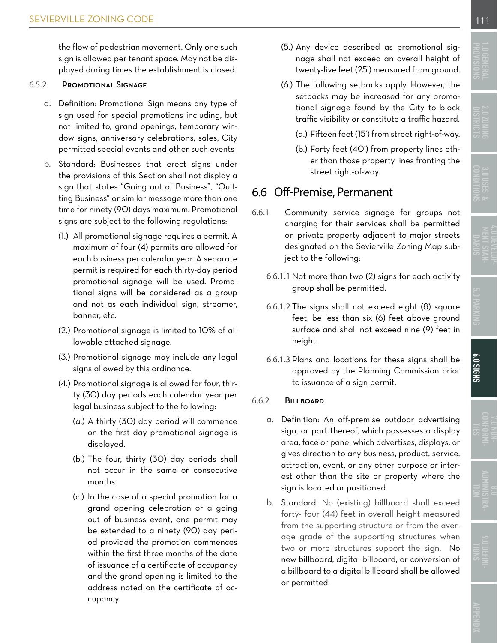<span id="page-10-0"></span>the flow of pedestrian movement. Only one such sign is allowed per tenant space. May not be displayed during times the establishment is closed.

#### 6.5.2 Promotional Signage

- a. Definition: Promotional Sign means any type of sign used for special promotions including, but not limited to, grand openings, temporary window signs, anniversary celebrations, sales, City permitted special events and other such events
- b. Standard: Businesses that erect signs under the provisions of this Section shall not display a sign that states "Going out of Business", "Quitting Business" or similar message more than one time for ninety (90) days maximum. Promotional signs are subject to the following regulations:
	- (1.) All promotional signage requires a permit. A maximum of four (4) permits are allowed for each business per calendar year. A separate permit is required for each thirty-day period promotional signage will be used. Promotional signs will be considered as a group and not as each individual sign, streamer, banner, etc.
	- (2.) Promotional signage is limited to 10% of allowable attached signage.
	- (3.) Promotional signage may include any legal signs allowed by this ordinance.
	- (4.) Promotional signage is allowed for four, thirty (30) day periods each calendar year per legal business subject to the following:
		- (a.) A thirty (30) day period will commence on the first day promotional signage is displayed.
		- (b.) The four, thirty (30) day periods shall not occur in the same or consecutive months.
		- (c.) In the case of a special promotion for a grand opening celebration or a going out of business event, one permit may be extended to a ninety (90) day period provided the promotion commences within the first three months of the date of issuance of a certificate of occupancy and the grand opening is limited to the address noted on the certificate of occupancy.
- (5.) Any device described as promotional signage shall not exceed an overall height of twenty-five feet (25') measured from ground.
- (6.) The following setbacks apply. However, the setbacks may be increased for any promotional signage found by the City to block traffic visibility or constitute a traffic hazard.
	- (a.) Fifteen feet (15') from street right-of-way.
	- (b.) Forty feet (40') from property lines other than those property lines fronting the street right-of-way.

## 6.6 Off-Premise, Permanent

- 6.6.1 Community service signage for groups not charging for their services shall be permitted on private property adjacent to major streets designated on the Sevierville Zoning Map subject to the following:
	- 6.6.1.1 Not more than two (2) signs for each activity group shall be permitted.
	- 6.6.1.2 The signs shall not exceed eight (8) square feet, be less than six (6) feet above ground surface and shall not exceed nine (9) feet in height.
	- 6.6.1.3 Plans and locations for these signs shall be approved by the Planning Commission prior to issuance of a sign permit.

#### 6.6.2 Billboard

- a. Definition: An off-premise outdoor advertising sign, or part thereof, which possesses a display area, face or panel which advertises, displays, or gives direction to any business, product, service, attraction, event, or any other purpose or interest other than the site or property where the sign is located or positioned.
- b. Standard: No (existing) billboard shall exceed forty- four (44) feet in overall height measured from the supporting structure or from the average grade of the supporting structures when two or more structures support the sign. No new billboard, digital billboard, or conversion of a billboard to a digital billboard shall be allowed or permitted.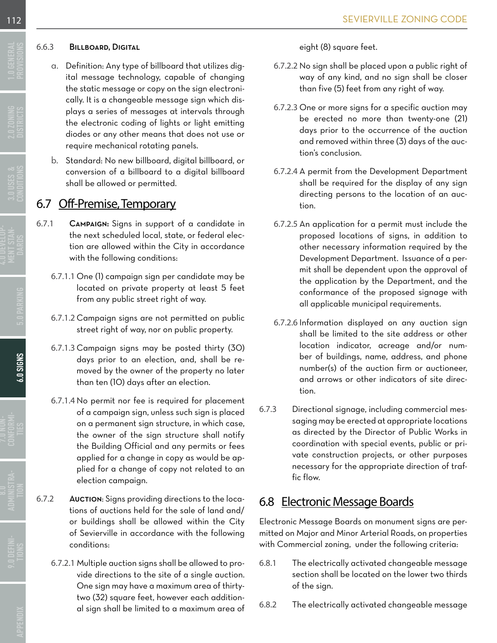#### <span id="page-11-0"></span>6.6.3 Billboard, Digital

- a. Definition: Any type of billboard that utilizes digital message technology, capable of changing the static message or copy on the sign electronically. It is a changeable message sign which displays a series of messages at intervals through the electronic coding of lights or light emitting diodes or any other means that does not use or require mechanical rotating panels.
- b. Standard: No new billboard, digital billboard, or conversion of a billboard to a digital billboard shall be allowed or permitted.

# 6.7 Off-Premise, Temporary

- 6.7.1 Campaign: Signs in support of a candidate in the next scheduled local, state, or federal election are allowed within the City in accordance with the following conditions:
	- 6.7.1.1 One (1) campaign sign per candidate may be located on private property at least 5 feet from any public street right of way.
	- 6.7.1.2 Campaign signs are not permitted on public street right of way, nor on public property.
	- 6.7.1.3 Campaign signs may be posted thirty (30) days prior to an election, and, shall be removed by the owner of the property no later than ten (10) days after an election.
	- 6.7.1.4 No permit nor fee is required for placement of a campaign sign, unless such sign is placed on a permanent sign structure, in which case, the owner of the sign structure shall notify the Building Official and any permits or fees applied for a change in copy as would be applied for a change of copy not related to an election campaign.
- 6.7.2 Auction: Signs providing directions to the locations of auctions held for the sale of land and/ or buildings shall be allowed within the City of Sevierville in accordance with the following conditions:
	- 6.7.2.1 Multiple auction signs shall be allowed to provide directions to the site of a single auction. One sign may have a maximum area of thirtytwo (32) square feet, however each additional sign shall be limited to a maximum area of

eight (8) square feet.

- 6.7.2.2 No sign shall be placed upon a public right of way of any kind, and no sign shall be closer than five (5) feet from any right of way.
- 6.7.2.3 One or more signs for a specific auction may be erected no more than twenty-one (21) days prior to the occurrence of the auction and removed within three (3) days of the auction's conclusion.
- 6.7.2.4 A permit from the Development Department shall be required for the display of any sign directing persons to the location of an auction.
- 6.7.2.5 An application for a permit must include the proposed locations of signs, in addition to other necessary information required by the Development Department. Issuance of a permit shall be dependent upon the approval of the application by the Department, and the conformance of the proposed signage with all applicable municipal requirements.
- 6.7.2.6 Information displayed on any auction sign shall be limited to the site address or other location indicator, acreage and/or number of buildings, name, address, and phone number(s) of the auction firm or auctioneer, and arrows or other indicators of site direction.
- 6.7.3 Directional signage, including commercial messaging may be erected at appropriate locations as directed by the Director of Public Works in coordination with special events, public or private construction projects, or other purposes necessary for the appropriate direction of traffic flow.

# 6.8 Electronic Message Boards

Electronic Message Boards on monument signs are permitted on Major and Minor Arterial Roads, on properties with Commercial zoning, under the following criteria:

- 6.8.1 The electrically activated changeable message section shall be located on the lower two thirds of the sign.
- 6.8.2 The electrically activated changeable message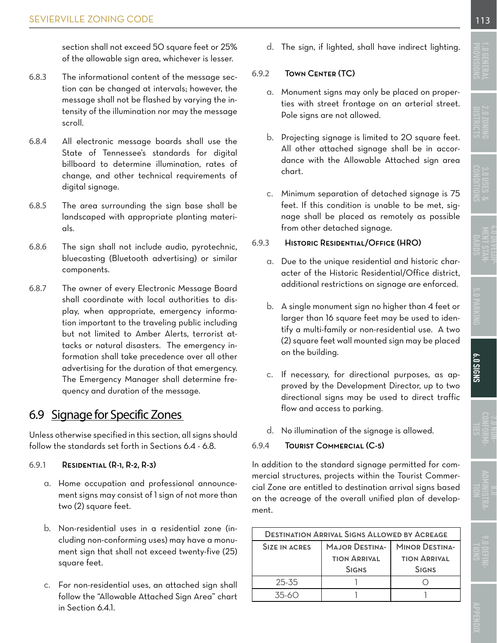<span id="page-12-0"></span>section shall not exceed 50 square feet or 25% of the allowable sign area, whichever is lesser.

- 6.8.3 The informational content of the message section can be changed at intervals; however, the message shall not be flashed by varying the intensity of the illumination nor may the message scroll.
- 6.8.4 All electronic message boards shall use the State of Tennessee's standards for digital billboard to determine illumination, rates of change, and other technical requirements of digital signage.
- 6.8.5 The area surrounding the sign base shall be landscaped with appropriate planting materials.
- 6.8.6 The sign shall not include audio, pyrotechnic, bluecasting (Bluetooth advertising) or similar components.
- 6.8.7 The owner of every Electronic Message Board shall coordinate with local authorities to display, when appropriate, emergency information important to the traveling public including but not limited to Amber Alerts, terrorist attacks or natural disasters. The emergency information shall take precedence over all other advertising for the duration of that emergency. The Emergency Manager shall determine frequency and duration of the message.

# 6.9 Signage for Specific Zones

Unless otherwise specified in this section, all signs should follow the standards set forth in Sections 6.4 - 6.8.

#### 6.9.1 Residential (R-1, R-2, R-3)

- a. Home occupation and professional announcement signs may consist of 1 sign of not more than two (2) square feet.
- b. Non-residential uses in a residential zone (including non-conforming uses) may have a monument sign that shall not exceed twenty-five (25) square feet.
- c. For non-residential uses, an attached sign shall follow the ["Allowable Attached Sign Area](#page-6-0)" chart in Section 6.4.1.

d. The sign, if lighted, shall have indirect lighting.

#### 6.9.2 Town Center (TC)

- a. Monument signs may only be placed on properties with street frontage on an arterial street. Pole signs are not allowed.
- b. Projecting signage is limited to 20 square feet. All other attached signage shall be in accordance with the Allowable Attached sign area chart.
- c. Minimum separation of detached signage is 75 feet. If this condition is unable to be met, signage shall be placed as remotely as possible from other detached signage.

#### 6.9.3 Historic Residential/Office (HRO)

- a. Due to the unique residential and historic character of the Historic Residential/Office district, additional restrictions on signage are enforced.
- b. A single monument sign no higher than 4 feet or larger than 16 square feet may be used to identify a multi-family or non-residential use. A two (2) square feet wall mounted sign may be placed on the building.
- c. If necessary, for directional purposes, as approved by the Development Director, up to two directional signs may be used to direct traffic flow and access to parking.
- d. No illumination of the signage is allowed.

#### 6.9.4 Tourist Commercial (C-5)

In addition to the standard signage permitted for commercial structures, projects within the Tourist Commercial Zone are entitled to destination arrival signs based on the acreage of the overall unified plan of development.

| <b>DESTINATION ARRIVAL SIGNS ALLOWED BY ACREAGE</b> |                       |                     |  |  |  |
|-----------------------------------------------------|-----------------------|---------------------|--|--|--|
| SIZE IN ACRES                                       | <b>MAJOR DESTINA-</b> |                     |  |  |  |
|                                                     | <b>TION ARRIVAL</b>   | <b>TION ARRIVAL</b> |  |  |  |
|                                                     | <b>SIGNS</b>          | <b>SIGNS</b>        |  |  |  |
| 25-35                                               |                       |                     |  |  |  |
| $35-60$                                             |                       |                     |  |  |  |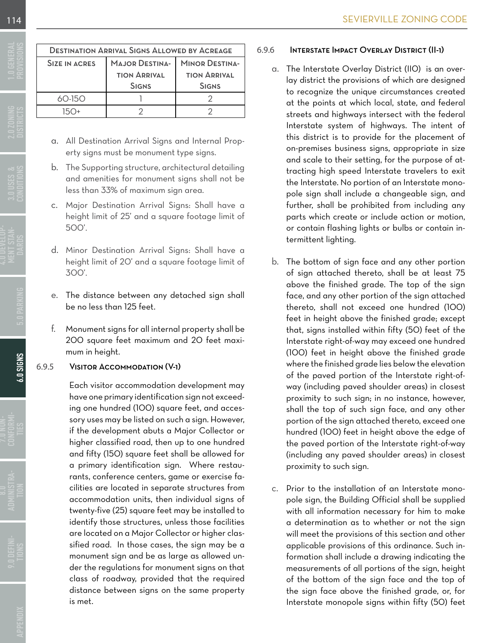| <b>DESTINATION ARRIVAL SIGNS ALLOWED BY ACREAGE</b> |                       |                       |  |  |  |  |  |
|-----------------------------------------------------|-----------------------|-----------------------|--|--|--|--|--|
| SIZE IN ACRES                                       | <b>MAJOR DESTINA-</b> | <b>MINOR DESTINA-</b> |  |  |  |  |  |
|                                                     | <b>TION ARRIVAL</b>   | <b>TION ARRIVAL</b>   |  |  |  |  |  |
|                                                     | <b>SIGNS</b>          | <b>SIGNS</b>          |  |  |  |  |  |
| 60-150                                              |                       |                       |  |  |  |  |  |
| $15(1+)$                                            |                       |                       |  |  |  |  |  |
|                                                     |                       |                       |  |  |  |  |  |

- a. All Destination Arrival Signs and Internal Property signs must be monument type signs.
- b. The Supporting structure, architectural detailing and amenities for monument signs shall not be less than 33% of maximum sign area.
- c. Major Destination Arrival Signs: Shall have a height limit of 25' and a square footage limit of 500'.
- d. Minor Destination Arrival Signs: Shall have a height limit of 20' and a square footage limit of 300'.
- e. The distance between any detached sign shall be no less than 125 feet.
- f. Monument signs for all internal property shall be 200 square feet maximum and 20 feet maximum in height.

#### 6.9.5 Visitor Accommodation (V-1)

Each visitor accommodation development may have one primary identification sign not exceeding one hundred (100) square feet, and accessory uses may be listed on such a sign. However, if the development abuts a Major Collector or higher classified road, then up to one hundred and fifty (150) square feet shall be allowed for a primary identification sign. Where restaurants, conference centers, game or exercise facilities are located in separate structures from accommodation units, then individual signs of twenty-five (25) square feet may be installed to identify those structures, unless those facilities are located on a Major Collector or higher classified road. In those cases, the sign may be a monument sign and be as large as allowed under the regulations for monument signs on that class of roadway, provided that the required distance between signs on the same property is met.

### 6.9.6 Interstate Impact Overlay District (II-1)

- a. The Interstate Overlay District (II0) is an overlay district the provisions of which are designed to recognize the unique circumstances created at the points at which local, state, and federal streets and highways intersect with the federal Interstate system of highways. The intent of this district is to provide for the placement of on-premises business signs, appropriate in size and scale to their setting, for the purpose of attracting high speed Interstate travelers to exit the Interstate. No portion of an Interstate monopole sign shall include a changeable sign, and further, shall be prohibited from including any parts which create or include action or motion, or contain flashing lights or bulbs or contain intermittent lighting.
- b. The bottom of sign face and any other portion of sign attached thereto, shall be at least 75 above the finished grade. The top of the sign face, and any other portion of the sign attached thereto, shall not exceed one hundred (100) feet in height above the finished grade; except that, signs installed within fifty (50) feet of the Interstate right-of-way may exceed one hundred (100) feet in height above the finished grade where the finished grade lies below the elevation of the paved portion of the Interstate right-ofway (including paved shoulder areas) in closest proximity to such sign; in no instance, however, shall the top of such sign face, and any other portion of the sign attached thereto, exceed one hundred (100) feet in height above the edge of the paved portion of the Interstate right-of-way (including any paved shoulder areas) in closest proximity to such sign.
- c. Prior to the installation of an Interstate monopole sign, the Building Official shall be supplied with all information necessary for him to make a determination as to whether or not the sign will meet the provisions of this section and other applicable provisions of this ordinance. Such information shall include a drawing indicating the measurements of all portions of the sign, height of the bottom of the sign face and the top of the sign face above the finished grade, or, for Interstate monopole signs within fifty (50) feet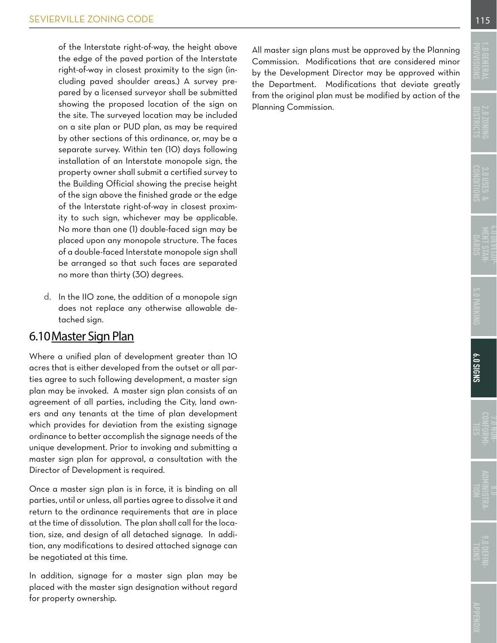<span id="page-14-0"></span>of the Interstate right-of-way, the height above the edge of the paved portion of the Interstate right-of-way in closest proximity to the sign (including paved shoulder areas.) A survey prepared by a licensed surveyor shall be submitted showing the proposed location of the sign on the site. The surveyed location may be included on a site plan or PUD plan, as may be required by other sections of this ordinance, or, may be a separate survey. Within ten (10) days following installation of an Interstate monopole sign, the property owner shall submit a certified survey to the Building Official showing the precise height of the sign above the finished grade or the edge of the Interstate right-of-way in closest proximity to such sign, whichever may be applicable. No more than one (1) double-faced sign may be placed upon any monopole structure. The faces of a double-faced Interstate monopole sign shall be arranged so that such faces are separated no more than thirty (30) degrees.

d. In the IIO zone, the addition of a monopole sign does not replace any otherwise allowable detached sign.

## 6.10Master Sign Plan

Where a unified plan of development greater than 10 acres that is either developed from the outset or all parties agree to such following development, a master sign plan may be invoked. A master sign plan consists of an agreement of all parties, including the City, land owners and any tenants at the time of plan development which provides for deviation from the existing signage ordinance to better accomplish the signage needs of the unique development. Prior to invoking and submitting a master sign plan for approval, a consultation with the Director of Development is required.

Once a master sign plan is in force, it is binding on all parties, until or unless, all parties agree to dissolve it and return to the ordinance requirements that are in place at the time of dissolution. The plan shall call for the location, size, and design of all detached signage. In addition, any modifications to desired attached signage can be negotiated at this time.

In addition, signage for a master sign plan may be placed with the master sign designation without regard for property ownership.

All master sign plans must be approved by the Planning Commission. Modifications that are considered minor by the Development Director may be approved within the Department. Modifications that deviate greatly from the original plan must be modified by action of the Planning Commission.